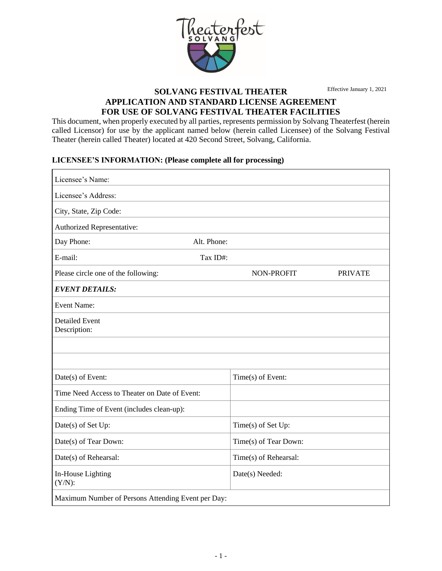

Effective January 1, 2021

# **SOLVANG FESTIVAL THEATER APPLICATION AND STANDARD LICENSE AGREEMENT FOR USE OF SOLVANG FESTIVAL THEATER FACILITIES**

This document, when properly executed by all parties, represents permission by Solvang Theaterfest (herein called Licensor) for use by the applicant named below (herein called Licensee) of the Solvang Festival Theater (herein called Theater) located at 420 Second Street, Solvang, California.

#### **LICENSEE'S INFORMATION: (Please complete all for processing)**

| Licensee's Name:                                   |                       |                |  |  |  |
|----------------------------------------------------|-----------------------|----------------|--|--|--|
| Licensee's Address:                                |                       |                |  |  |  |
| City, State, Zip Code:                             |                       |                |  |  |  |
| Authorized Representative:                         |                       |                |  |  |  |
| Alt. Phone:<br>Day Phone:                          |                       |                |  |  |  |
| E-mail:<br>Tax ID#:                                |                       |                |  |  |  |
| Please circle one of the following:                | NON-PROFIT            | <b>PRIVATE</b> |  |  |  |
| <b>EVENT DETAILS:</b>                              |                       |                |  |  |  |
| <b>Event Name:</b>                                 |                       |                |  |  |  |
| <b>Detailed Event</b><br>Description:              |                       |                |  |  |  |
|                                                    |                       |                |  |  |  |
|                                                    |                       |                |  |  |  |
| Date(s) of Event:                                  | Time(s) of Event:     |                |  |  |  |
| Time Need Access to Theater on Date of Event:      |                       |                |  |  |  |
| Ending Time of Event (includes clean-up):          |                       |                |  |  |  |
| Date(s) of Set Up:                                 | Time(s) of Set Up:    |                |  |  |  |
| Date(s) of Tear Down:                              | Time(s) of Tear Down: |                |  |  |  |
| Date(s) of Rehearsal:                              | Time(s) of Rehearsal: |                |  |  |  |
| In-House Lighting<br>$(Y/N)$ :                     | Date(s) Needed:       |                |  |  |  |
| Maximum Number of Persons Attending Event per Day: |                       |                |  |  |  |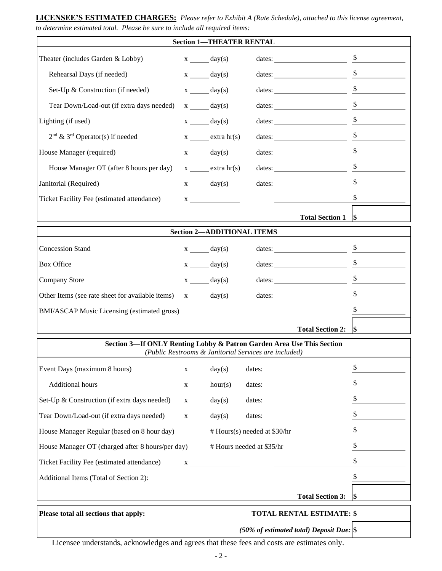#### **LICENSEE'S ESTIMATED CHARGES:** *Please refer to Exhibit A (Rate Schedule), attached to this license agreement, to determine estimated total. Please be sure to include all required items:*

| <b>Section 1-THEATER RENTAL</b>                                                                                                |              |                                                                                                                                                                                                                                                                                                                                                                                                                                                                                                                                                                                                                                          |                              |                                                                                                                                                                                                                                      |               |  |
|--------------------------------------------------------------------------------------------------------------------------------|--------------|------------------------------------------------------------------------------------------------------------------------------------------------------------------------------------------------------------------------------------------------------------------------------------------------------------------------------------------------------------------------------------------------------------------------------------------------------------------------------------------------------------------------------------------------------------------------------------------------------------------------------------------|------------------------------|--------------------------------------------------------------------------------------------------------------------------------------------------------------------------------------------------------------------------------------|---------------|--|
| Theater (includes Garden & Lobby)                                                                                              |              | $x \underline{\hspace{1cm}} \text{day(s)}$                                                                                                                                                                                                                                                                                                                                                                                                                                                                                                                                                                                               |                              |                                                                                                                                                                                                                                      |               |  |
| Rehearsal Days (if needed)                                                                                                     |              | $x \_\_\_day(s)$                                                                                                                                                                                                                                                                                                                                                                                                                                                                                                                                                                                                                         |                              |                                                                                                                                                                                                                                      | \$            |  |
| Set-Up & Construction (if needed)                                                                                              |              | $x \_\_\_day(s)$                                                                                                                                                                                                                                                                                                                                                                                                                                                                                                                                                                                                                         |                              |                                                                                                                                                                                                                                      | \$            |  |
| Tear Down/Load-out (if extra days needed)                                                                                      |              | $x \_\_\_day(s)$                                                                                                                                                                                                                                                                                                                                                                                                                                                                                                                                                                                                                         |                              | dates: $\qquad \qquad$                                                                                                                                                                                                               | $\mathcal{L}$ |  |
| Lighting (if used)                                                                                                             |              | $x \_\_\_day(s)$                                                                                                                                                                                                                                                                                                                                                                                                                                                                                                                                                                                                                         |                              | dates: $\qquad \qquad$                                                                                                                                                                                                               | $\frac{1}{2}$ |  |
| $2nd$ & 3 <sup>rd</sup> Operator(s) if needed                                                                                  |              | $x$ extra $hr(s)$                                                                                                                                                                                                                                                                                                                                                                                                                                                                                                                                                                                                                        |                              | dates: $\frac{\$}{\qquad}$                                                                                                                                                                                                           |               |  |
| House Manager (required)                                                                                                       |              | $x \_\_\_day(s)$                                                                                                                                                                                                                                                                                                                                                                                                                                                                                                                                                                                                                         |                              |                                                                                                                                                                                                                                      |               |  |
| House Manager OT (after 8 hours per day)                                                                                       |              | $x \underline{\hspace{2cm}}$ extra hr(s)                                                                                                                                                                                                                                                                                                                                                                                                                                                                                                                                                                                                 |                              |                                                                                                                                                                                                                                      | \$            |  |
| Janitorial (Required)                                                                                                          |              | $x \_\_\_day(s)$                                                                                                                                                                                                                                                                                                                                                                                                                                                                                                                                                                                                                         |                              | dates: the contract of the contract of the contract of the contract of the contract of the contract of the contract of the contract of the contract of the contract of the contract of the contract of the contract of the con       | \$            |  |
| Ticket Facility Fee (estimated attendance)                                                                                     |              | $\mathbf{X}$                                                                                                                                                                                                                                                                                                                                                                                                                                                                                                                                                                                                                             |                              | <u> The Community of the Community of the Community of the Community of the Community of the Community of the Community of the Community of the Community of the Community of the Community of the Community of the Community of</u> | $\mathbb{S}$  |  |
|                                                                                                                                |              |                                                                                                                                                                                                                                                                                                                                                                                                                                                                                                                                                                                                                                          |                              | <b>Total Section 1</b>                                                                                                                                                                                                               | <b>S</b>      |  |
| <b>Section 2-ADDITIONAL ITEMS</b>                                                                                              |              |                                                                                                                                                                                                                                                                                                                                                                                                                                                                                                                                                                                                                                          |                              |                                                                                                                                                                                                                                      |               |  |
|                                                                                                                                |              |                                                                                                                                                                                                                                                                                                                                                                                                                                                                                                                                                                                                                                          |                              |                                                                                                                                                                                                                                      |               |  |
| <b>Concession Stand</b>                                                                                                        |              | $x \_\_\_day(s)$                                                                                                                                                                                                                                                                                                                                                                                                                                                                                                                                                                                                                         |                              | dates: $\frac{\$}{\$}$                                                                                                                                                                                                               |               |  |
| <b>Box Office</b>                                                                                                              |              | $x \_\_\_day(s)$                                                                                                                                                                                                                                                                                                                                                                                                                                                                                                                                                                                                                         |                              | dates: $\qquad \qquad$                                                                                                                                                                                                               | \$            |  |
| Company Store                                                                                                                  |              | $x \underline{\hspace{1cm}} \underline{\hspace{1cm}} \underline{\hspace{1cm}} \underline{\hspace{1cm}} \underline{\hspace{1cm}} \underline{\hspace{1cm}} \underline{\hspace{1cm}} \underline{\hspace{1cm}} \underline{\hspace{1cm}} \underline{\hspace{1cm}} \underline{\hspace{1cm}} \underline{\hspace{1cm}} \underline{\hspace{1cm}} \underline{\hspace{1cm}} \underline{\hspace{1cm}} \underline{\hspace{1cm}} \underline{\hspace{1cm}} \underline{\hspace{1cm}} \underline{\hspace{1cm}} \underline{\hspace{1cm}} \underline{\hspace{1cm}} \underline{\hspace{1cm}} \underline{\hspace{1cm}} \underline{\hspace{1cm}} \underline{\$ |                              | dates: $\qquad \qquad$                                                                                                                                                                                                               | \$            |  |
| Other Items (see rate sheet for available items)                                                                               |              | $x \_\_\_day(s)$                                                                                                                                                                                                                                                                                                                                                                                                                                                                                                                                                                                                                         |                              | dates: $\qquad \qquad$                                                                                                                                                                                                               |               |  |
| BMI/ASCAP Music Licensing (estimated gross)                                                                                    |              |                                                                                                                                                                                                                                                                                                                                                                                                                                                                                                                                                                                                                                          |                              | \$                                                                                                                                                                                                                                   |               |  |
|                                                                                                                                |              |                                                                                                                                                                                                                                                                                                                                                                                                                                                                                                                                                                                                                                          |                              | Total Section 2: \$                                                                                                                                                                                                                  |               |  |
| Section 3-If ONLY Renting Lobby & Patron Garden Area Use This Section<br>(Public Restrooms & Janitorial Services are included) |              |                                                                                                                                                                                                                                                                                                                                                                                                                                                                                                                                                                                                                                          |                              |                                                                                                                                                                                                                                      |               |  |
| Event Days (maximum 8 hours)                                                                                                   | X            | day(s)                                                                                                                                                                                                                                                                                                                                                                                                                                                                                                                                                                                                                                   | dates:                       |                                                                                                                                                                                                                                      | \$            |  |
| Additional hours                                                                                                               | X            | hour(s)                                                                                                                                                                                                                                                                                                                                                                                                                                                                                                                                                                                                                                  | dates:                       |                                                                                                                                                                                                                                      | \$            |  |
| Set-Up & Construction (if extra days needed)                                                                                   | X            | day(s)                                                                                                                                                                                                                                                                                                                                                                                                                                                                                                                                                                                                                                   | dates:                       |                                                                                                                                                                                                                                      | \$            |  |
| Tear Down/Load-out (if extra days needed)                                                                                      | X            | day(s)                                                                                                                                                                                                                                                                                                                                                                                                                                                                                                                                                                                                                                   | dates:                       |                                                                                                                                                                                                                                      | \$            |  |
| House Manager Regular (based on 8 hour day)                                                                                    |              |                                                                                                                                                                                                                                                                                                                                                                                                                                                                                                                                                                                                                                          | # Hours(s) needed at \$30/hr |                                                                                                                                                                                                                                      | \$            |  |
| House Manager OT (charged after 8 hours/per day)<br># Hours needed at \$35/hr                                                  |              |                                                                                                                                                                                                                                                                                                                                                                                                                                                                                                                                                                                                                                          |                              |                                                                                                                                                                                                                                      |               |  |
| Ticket Facility Fee (estimated attendance)                                                                                     | $\mathbf{X}$ |                                                                                                                                                                                                                                                                                                                                                                                                                                                                                                                                                                                                                                          |                              |                                                                                                                                                                                                                                      | \$            |  |
| Additional Items (Total of Section 2):                                                                                         |              |                                                                                                                                                                                                                                                                                                                                                                                                                                                                                                                                                                                                                                          |                              |                                                                                                                                                                                                                                      | \$            |  |
|                                                                                                                                |              |                                                                                                                                                                                                                                                                                                                                                                                                                                                                                                                                                                                                                                          |                              | <b>Total Section 3:</b>                                                                                                                                                                                                              |               |  |
|                                                                                                                                |              |                                                                                                                                                                                                                                                                                                                                                                                                                                                                                                                                                                                                                                          |                              |                                                                                                                                                                                                                                      |               |  |
| Please total all sections that apply:<br><b>TOTAL RENTAL ESTIMATE: \$</b>                                                      |              |                                                                                                                                                                                                                                                                                                                                                                                                                                                                                                                                                                                                                                          |                              |                                                                                                                                                                                                                                      |               |  |
|                                                                                                                                |              |                                                                                                                                                                                                                                                                                                                                                                                                                                                                                                                                                                                                                                          |                              | (50% of estimated total) Deposit Due: $\$                                                                                                                                                                                            |               |  |

Licensee understands, acknowledges and agrees that these fees and costs are estimates only.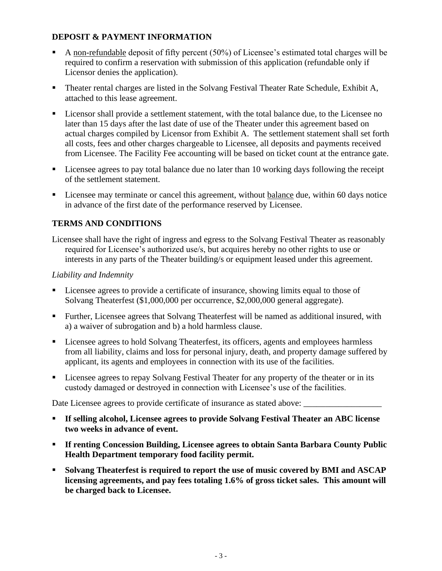# **DEPOSIT & PAYMENT INFORMATION**

- A non-refundable deposit of fifty percent  $(50\%)$  of Licensee's estimated total charges will be required to confirm a reservation with submission of this application (refundable only if Licensor denies the application).
- **Theater rental charges are listed in the Solvang Festival Theater Rate Schedule, Exhibit A,** attached to this lease agreement.
- Licensor shall provide a settlement statement, with the total balance due, to the Licensee no later than 15 days after the last date of use of the Theater under this agreement based on actual charges compiled by Licensor from Exhibit A. The settlement statement shall set forth all costs, fees and other charges chargeable to Licensee, all deposits and payments received from Licensee. The Facility Fee accounting will be based on ticket count at the entrance gate.
- Licensee agrees to pay total balance due no later than 10 working days following the receipt of the settlement statement.
- Licensee may terminate or cancel this agreement, without balance due, within 60 days notice in advance of the first date of the performance reserved by Licensee.

# **TERMS AND CONDITIONS**

Licensee shall have the right of ingress and egress to the Solvang Festival Theater as reasonably required for Licensee's authorized use/s, but acquires hereby no other rights to use or interests in any parts of the Theater building/s or equipment leased under this agreement.

# *Liability and Indemnity*

- Licensee agrees to provide a certificate of insurance, showing limits equal to those of Solvang Theaterfest (\$1,000,000 per occurrence, \$2,000,000 general aggregate).
- Further, Licensee agrees that Solvang Theaterfest will be named as additional insured, with a) a waiver of subrogation and b) a hold harmless clause.
- Licensee agrees to hold Solvang Theaterfest, its officers, agents and employees harmless from all liability, claims and loss for personal injury, death, and property damage suffered by applicant, its agents and employees in connection with its use of the facilities.
- Licensee agrees to repay Solvang Festival Theater for any property of the theater or in its custody damaged or destroyed in connection with Licensee's use of the facilities.

Date Licensee agrees to provide certificate of insurance as stated above:

- **If selling alcohol, Licensee agrees to provide Solvang Festival Theater an ABC license two weeks in advance of event.**
- **If renting Concession Building, Licensee agrees to obtain Santa Barbara County Public Health Department temporary food facility permit.**
- **Solvang Theaterfest is required to report the use of music covered by BMI and ASCAP licensing agreements, and pay fees totaling 1.6% of gross ticket sales. This amount will be charged back to Licensee.**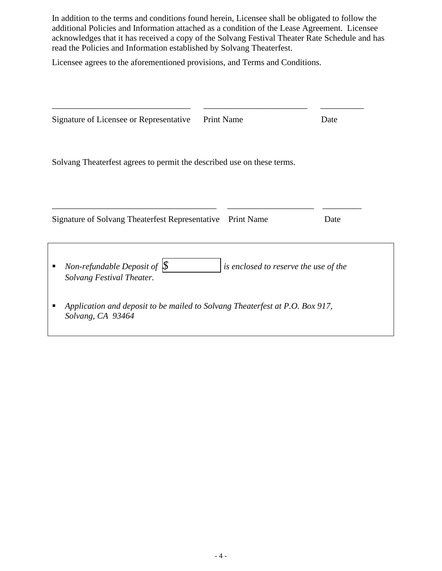In addition to the terms and conditions found herein, Licensee shall be obligated to follow the additional Policies and Information attached as a condition of the Lease Agreement. Licensee acknowledges that it has received a copy of the Solvang Festival Theater Rate Schedule and has read the Policies and Information established by Solvang Theaterfest.

\_\_\_\_\_\_\_\_\_\_\_\_\_\_\_\_\_\_\_\_\_\_\_\_\_\_\_\_\_\_\_\_ \_\_\_\_\_\_\_\_\_\_\_\_\_\_\_\_\_\_\_\_\_\_\_\_ \_\_\_\_\_\_\_\_\_\_

Licensee agrees to the aforementioned provisions, and Terms and Conditions.

| Signature of Licensee or Representative                                                                 | <b>Print Name</b> |                   | Date |  |
|---------------------------------------------------------------------------------------------------------|-------------------|-------------------|------|--|
|                                                                                                         |                   |                   |      |  |
| Solvang Theaterfest agrees to permit the described use on these terms.                                  |                   |                   |      |  |
|                                                                                                         |                   |                   |      |  |
| Signature of Solvang Theaterfest Representative                                                         |                   | <b>Print Name</b> | Date |  |
|                                                                                                         |                   |                   |      |  |
| Non-refundable Deposit of $\oint$<br>is enclosed to reserve the use of the<br>Solvang Festival Theater. |                   |                   |      |  |
| Application and deposit to be mailed to Solvang Theaterfest at P.O. Box 917,<br>Solvang, CA 93464       |                   |                   |      |  |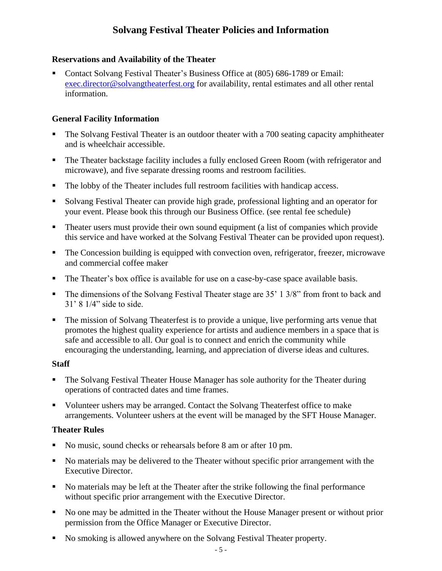# **Solvang Festival Theater Policies and Information**

## **Reservations and Availability of the Theater**

Contact Solvang Festival Theater's Business Office at (805) 686-1789 or Email: [exec.director@solvangtheaterfest.org](mailto:exec.director@solvangtheaterfest.org) for availability, rental estimates and all other rental information.

## **General Facility Information**

- The Solvang Festival Theater is an outdoor theater with a 700 seating capacity amphitheater and is wheelchair accessible.
- The Theater backstage facility includes a fully enclosed Green Room (with refrigerator and microwave), and five separate dressing rooms and restroom facilities.
- The lobby of the Theater includes full restroom facilities with handicap access.
- Solvang Festival Theater can provide high grade, professional lighting and an operator for your event. Please book this through our Business Office. (see rental fee schedule)
- Theater users must provide their own sound equipment (a list of companies which provide this service and have worked at the Solvang Festival Theater can be provided upon request).
- The Concession building is equipped with convection oven, refrigerator, freezer, microwave and commercial coffee maker
- The Theater's box office is available for use on a case-by-case space available basis.
- The dimensions of the Solvang Festival Theater stage are 35' 1 3/8" from front to back and 31' 8 1/4" side to side.
- The mission of Solvang Theaterfest is to provide a unique, live performing arts venue that promotes the highest quality experience for artists and audience members in a space that is safe and accessible to all. Our goal is to connect and enrich the community while encouraging the understanding, learning, and appreciation of diverse ideas and cultures.

#### **Staff**

- The Solvang Festival Theater House Manager has sole authority for the Theater during operations of contracted dates and time frames.
- Volunteer ushers may be arranged. Contact the Solvang Theaterfest office to make arrangements. Volunteer ushers at the event will be managed by the SFT House Manager.

#### **Theater Rules**

- No music, sound checks or rehearsals before 8 am or after 10 pm.
- No materials may be delivered to the Theater without specific prior arrangement with the Executive Director.
- No materials may be left at the Theater after the strike following the final performance without specific prior arrangement with the Executive Director.
- No one may be admitted in the Theater without the House Manager present or without prior permission from the Office Manager or Executive Director.
- No smoking is allowed anywhere on the Solvang Festival Theater property.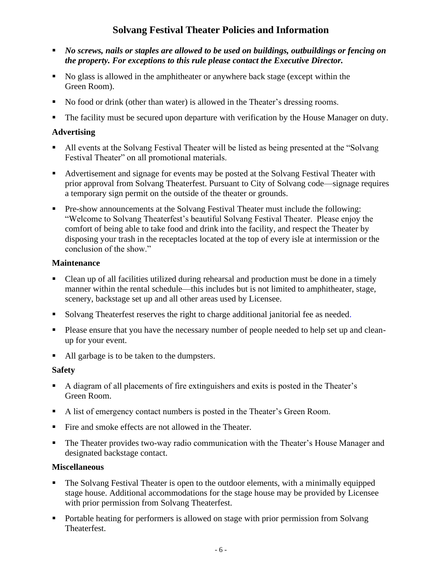# **Solvang Festival Theater Policies and Information**

- *No screws, nails or staples are allowed to be used on buildings, outbuildings or fencing on the property. For exceptions to this rule please contact the Executive Director.*
- No glass is allowed in the amphitheater or anywhere back stage (except within the Green Room).
- No food or drink (other than water) is allowed in the Theater's dressing rooms.
- The facility must be secured upon departure with verification by the House Manager on duty.

# **Advertising**

- All events at the Solvang Festival Theater will be listed as being presented at the "Solvang" Festival Theater" on all promotional materials.
- Advertisement and signage for events may be posted at the Solvang Festival Theater with prior approval from Solvang Theaterfest. Pursuant to City of Solvang code—signage requires a temporary sign permit on the outside of the theater or grounds.
- **•** Pre-show announcements at the Solvang Festival Theater must include the following: "Welcome to Solvang Theaterfest's beautiful Solvang Festival Theater. Please enjoy the comfort of being able to take food and drink into the facility, and respect the Theater by disposing your trash in the receptacles located at the top of every isle at intermission or the conclusion of the show."

# **Maintenance**

- Clean up of all facilities utilized during rehearsal and production must be done in a timely manner within the rental schedule—this includes but is not limited to amphitheater, stage, scenery, backstage set up and all other areas used by Licensee.
- Solvang Theaterfest reserves the right to charge additional janitorial fee as needed.
- **•** Please ensure that you have the necessary number of people needed to help set up and cleanup for your event.
- All garbage is to be taken to the dumpsters.

# **Safety**

- A diagram of all placements of fire extinguishers and exits is posted in the Theater's Green Room.
- A list of emergency contact numbers is posted in the Theater's Green Room.
- Fire and smoke effects are not allowed in the Theater.
- **The Theater provides two-way radio communication with the Theater's House Manager and** designated backstage contact.

# **Miscellaneous**

- The Solvang Festival Theater is open to the outdoor elements, with a minimally equipped stage house. Additional accommodations for the stage house may be provided by Licensee with prior permission from Solvang Theaterfest.
- Portable heating for performers is allowed on stage with prior permission from Solvang Theaterfest.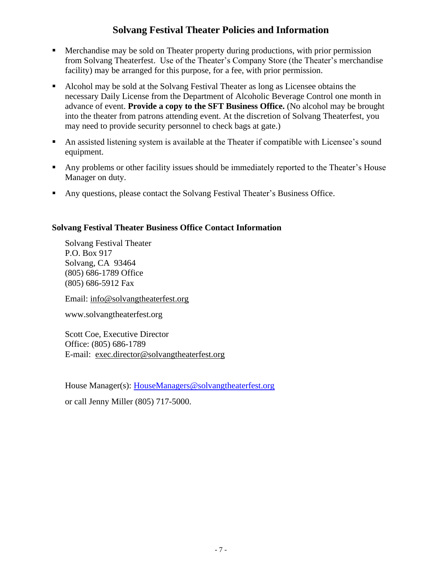# **Solvang Festival Theater Policies and Information**

- Merchandise may be sold on Theater property during productions, with prior permission from Solvang Theaterfest. Use of the Theater's Company Store (the Theater's merchandise facility) may be arranged for this purpose, for a fee, with prior permission.
- Alcohol may be sold at the Solvang Festival Theater as long as Licensee obtains the necessary Daily License from the Department of Alcoholic Beverage Control one month in advance of event. **Provide a copy to the SFT Business Office.** (No alcohol may be brought into the theater from patrons attending event. At the discretion of Solvang Theaterfest, you may need to provide security personnel to check bags at gate.)
- An assisted listening system is available at the Theater if compatible with Licensee's sound equipment.
- Any problems or other facility issues should be immediately reported to the Theater's House Manager on duty.
- Any questions, please contact the Solvang Festival Theater's Business Office.

# **Solvang Festival Theater Business Office Contact Information**

Solvang Festival Theater P.O. Box 917 Solvang, CA 93464 (805) 686-1789 Office (805) 686-5912 Fax

Email: info@solvangtheaterfest.org

www.solvangtheaterfest.org

Scott Coe, Executive Director Office: (805) 686-1789 E-mail: exec.director@solvangtheaterfest.org

House Manager(s): HouseManagers@solvangtheaterfest.org

or call Jenny Miller (805) 717-5000.